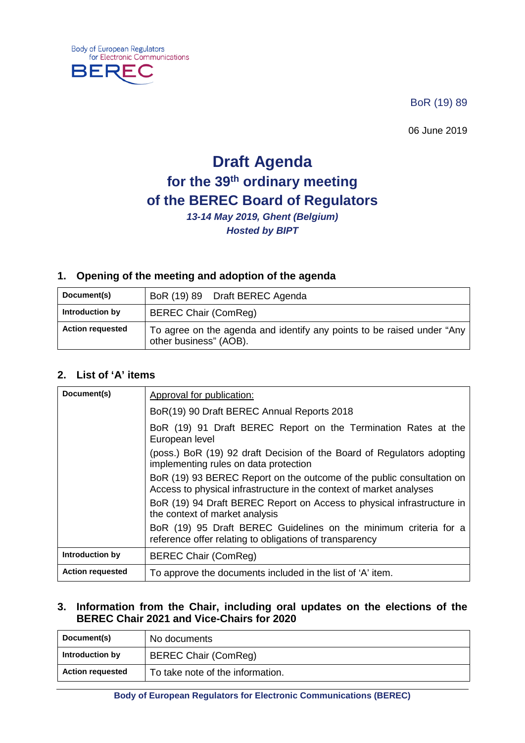**Body of European Regulators** for Electronic Communications

**BERE** 

BoR (19) 89

06 June 2019

# **Draft Agenda for the 39th ordinary meeting of the BEREC Board of Regulators**

*13-14 May 2019, Ghent (Belgium) Hosted by BIPT*

### **1. Opening of the meeting and adoption of the agenda**

| Document(s)             | BoR (19) 89 Draft BEREC Agenda                                                                   |
|-------------------------|--------------------------------------------------------------------------------------------------|
| Introduction by         | <b>BEREC Chair (ComReg)</b>                                                                      |
| <b>Action requested</b> | To agree on the agenda and identify any points to be raised under "Any<br>other business" (AOB). |

#### **2. List of 'A' items**

| Document(s)             | Approval for publication:                                                                                                                    |
|-------------------------|----------------------------------------------------------------------------------------------------------------------------------------------|
|                         | BoR(19) 90 Draft BEREC Annual Reports 2018                                                                                                   |
|                         | BoR (19) 91 Draft BEREC Report on the Termination Rates at the<br>European level                                                             |
|                         | (poss.) BoR (19) 92 draft Decision of the Board of Regulators adopting<br>implementing rules on data protection                              |
|                         | BoR (19) 93 BEREC Report on the outcome of the public consultation on<br>Access to physical infrastructure in the context of market analyses |
|                         | BoR (19) 94 Draft BEREC Report on Access to physical infrastructure in<br>the context of market analysis                                     |
|                         | BoR (19) 95 Draft BEREC Guidelines on the minimum criteria for a<br>reference offer relating to obligations of transparency                  |
| Introduction by         | <b>BEREC Chair (ComReg)</b>                                                                                                                  |
| <b>Action requested</b> | To approve the documents included in the list of 'A' item.                                                                                   |

#### **3. Information from the Chair, including oral updates on the elections of the BEREC Chair 2021 and Vice-Chairs for 2020**

| Document(s)             | No documents                     |
|-------------------------|----------------------------------|
| Introduction by         | <b>BEREC Chair (ComReg)</b>      |
| <b>Action requested</b> | To take note of the information. |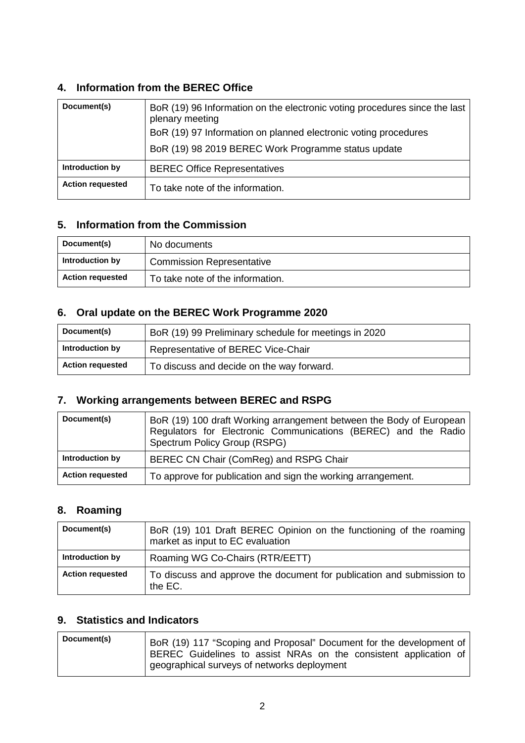### **4. Information from the BEREC Office**

| Document(s)             | BoR (19) 96 Information on the electronic voting procedures since the last<br>plenary meeting<br>BoR (19) 97 Information on planned electronic voting procedures<br>BoR (19) 98 2019 BEREC Work Programme status update |
|-------------------------|-------------------------------------------------------------------------------------------------------------------------------------------------------------------------------------------------------------------------|
| Introduction by         | <b>BEREC Office Representatives</b>                                                                                                                                                                                     |
| <b>Action requested</b> | To take note of the information.                                                                                                                                                                                        |

### **5. Information from the Commission**

| Document(s)             | No documents                     |
|-------------------------|----------------------------------|
| Introduction by         | <b>Commission Representative</b> |
| <b>Action requested</b> | To take note of the information. |

### **6. Oral update on the BEREC Work Programme 2020**

| Document(s)             | BoR (19) 99 Preliminary schedule for meetings in 2020 |
|-------------------------|-------------------------------------------------------|
| Introduction by         | Representative of BEREC Vice-Chair                    |
| <b>Action requested</b> | To discuss and decide on the way forward.             |

### **7. Working arrangements between BEREC and RSPG**

| Document(s)             | BoR (19) 100 draft Working arrangement between the Body of European<br>Regulators for Electronic Communications (BEREC) and the Radio<br>Spectrum Policy Group (RSPG) |
|-------------------------|-----------------------------------------------------------------------------------------------------------------------------------------------------------------------|
| Introduction by         | BEREC CN Chair (ComReg) and RSPG Chair                                                                                                                                |
| <b>Action requested</b> | To approve for publication and sign the working arrangement.                                                                                                          |

## **8. Roaming**

| Document(s)             | BoR (19) 101 Draft BEREC Opinion on the functioning of the roaming<br>market as input to EC evaluation |
|-------------------------|--------------------------------------------------------------------------------------------------------|
| Introduction by         | Roaming WG Co-Chairs (RTR/EETT)                                                                        |
| <b>Action requested</b> | To discuss and approve the document for publication and submission to<br>the EC.                       |

# **9. Statistics and Indicators**

| Document(s) | BoR (19) 117 "Scoping and Proposal" Document for the development of |
|-------------|---------------------------------------------------------------------|
|             | BEREC Guidelines to assist NRAs on the consistent application of    |
|             | geographical surveys of networks deployment                         |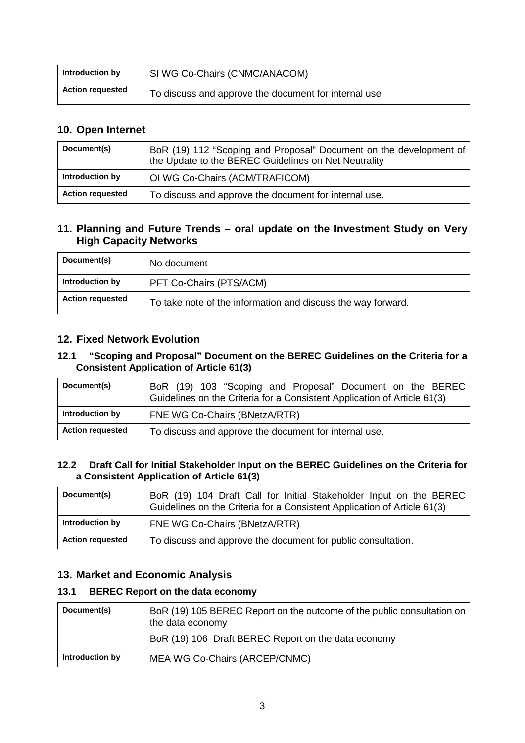| Introduction by         | SI WG Co-Chairs (CNMC/ANACOM)                        |
|-------------------------|------------------------------------------------------|
| <b>Action requested</b> | To discuss and approve the document for internal use |

### **10. Open Internet**

| Document(s)             | BoR (19) 112 "Scoping and Proposal" Document on the development of<br>the Update to the BEREC Guidelines on Net Neutrality |
|-------------------------|----------------------------------------------------------------------------------------------------------------------------|
| Introduction by         | OI WG Co-Chairs (ACM/TRAFICOM)                                                                                             |
| <b>Action requested</b> | To discuss and approve the document for internal use.                                                                      |

### **11. Planning and Future Trends – oral update on the Investment Study on Very High Capacity Networks**

| Document(s)             | No document                                                  |
|-------------------------|--------------------------------------------------------------|
| Introduction by         | PFT Co-Chairs (PTS/ACM)                                      |
| <b>Action requested</b> | To take note of the information and discuss the way forward. |

### **12. Fixed Network Evolution**

#### **12.1 "Scoping and Proposal" Document on the BEREC Guidelines on the Criteria for a Consistent Application of Article 61(3)**

| Document(s)             | BoR (19) 103 "Scoping and Proposal" Document on the BEREC<br>Guidelines on the Criteria for a Consistent Application of Article 61(3) |
|-------------------------|---------------------------------------------------------------------------------------------------------------------------------------|
| Introduction by         | FNE WG Co-Chairs (BNetzA/RTR)                                                                                                         |
| <b>Action requested</b> | To discuss and approve the document for internal use.                                                                                 |

#### **12.2 Draft Call for Initial Stakeholder Input on the BEREC Guidelines on the Criteria for a Consistent Application of Article 61(3)**

| Document(s)             | BoR (19) 104 Draft Call for Initial Stakeholder Input on the BEREC<br>Guidelines on the Criteria for a Consistent Application of Article 61(3) |
|-------------------------|------------------------------------------------------------------------------------------------------------------------------------------------|
| Introduction by         | FNE WG Co-Chairs (BNetzA/RTR)                                                                                                                  |
| <b>Action requested</b> | To discuss and approve the document for public consultation.                                                                                   |

### **13. Market and Economic Analysis**

### **13.1 BEREC Report on the data economy**

| Document(s)     | BoR (19) 105 BEREC Report on the outcome of the public consultation on<br>the data economy |
|-----------------|--------------------------------------------------------------------------------------------|
|                 | BoR (19) 106 Draft BEREC Report on the data economy                                        |
| Introduction by | MEA WG Co-Chairs (ARCEP/CNMC)                                                              |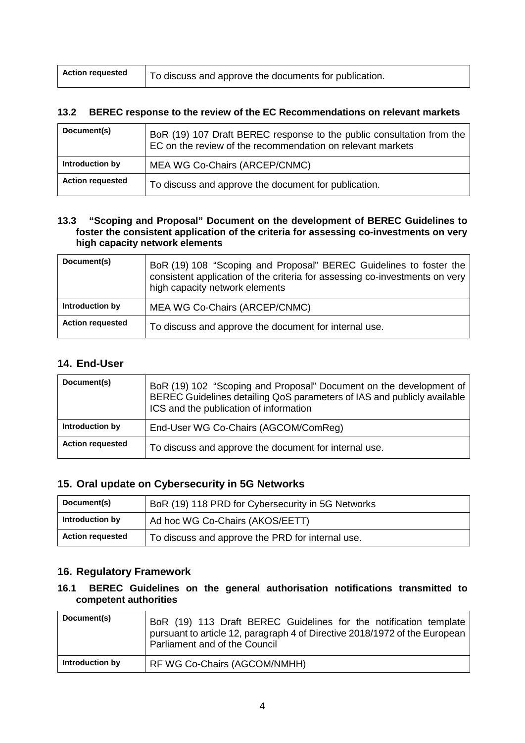| <b>Action requested</b> | To discuss and approve the documents for publication. |
|-------------------------|-------------------------------------------------------|
|-------------------------|-------------------------------------------------------|

#### **13.2 BEREC response to the review of the EC Recommendations on relevant markets**

| Document(s)             | BoR (19) 107 Draft BEREC response to the public consultation from the<br>EC on the review of the recommendation on relevant markets |
|-------------------------|-------------------------------------------------------------------------------------------------------------------------------------|
| Introduction by         | MEA WG Co-Chairs (ARCEP/CNMC)                                                                                                       |
| <b>Action requested</b> | To discuss and approve the document for publication.                                                                                |

#### **13.3 "Scoping and Proposal" Document on the development of BEREC Guidelines to foster the consistent application of the criteria for assessing co-investments on very high capacity network elements**

| Document(s)             | BoR (19) 108 "Scoping and Proposal" BEREC Guidelines to foster the<br>consistent application of the criteria for assessing co-investments on very<br>high capacity network elements |
|-------------------------|-------------------------------------------------------------------------------------------------------------------------------------------------------------------------------------|
| Introduction by         | MEA WG Co-Chairs (ARCEP/CNMC)                                                                                                                                                       |
| <b>Action requested</b> | To discuss and approve the document for internal use.                                                                                                                               |

### **14. End-User**

| Document(s)             | BoR (19) 102 "Scoping and Proposal" Document on the development of<br>BEREC Guidelines detailing QoS parameters of IAS and publicly available<br>ICS and the publication of information |
|-------------------------|-----------------------------------------------------------------------------------------------------------------------------------------------------------------------------------------|
| Introduction by         | End-User WG Co-Chairs (AGCOM/ComReg)                                                                                                                                                    |
| <b>Action requested</b> | To discuss and approve the document for internal use.                                                                                                                                   |

#### **15. Oral update on Cybersecurity in 5G Networks**

| Document(s)             | BoR (19) 118 PRD for Cybersecurity in 5G Networks |
|-------------------------|---------------------------------------------------|
| Introduction by         | Ad hoc WG Co-Chairs (AKOS/EETT)                   |
| <b>Action requested</b> | To discuss and approve the PRD for internal use.  |

### **16. Regulatory Framework**

#### **16.1 BEREC Guidelines on the general authorisation notifications transmitted to competent authorities**

| Document(s)     | BoR (19) 113 Draft BEREC Guidelines for the notification template<br>pursuant to article 12, paragraph 4 of Directive 2018/1972 of the European<br>Parliament and of the Council |
|-----------------|----------------------------------------------------------------------------------------------------------------------------------------------------------------------------------|
| Introduction by | RF WG Co-Chairs (AGCOM/NMHH)                                                                                                                                                     |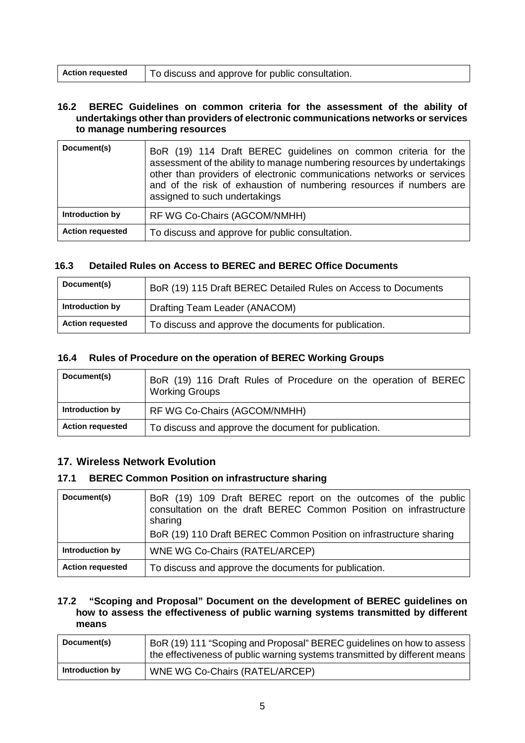| <b>Action requested</b> | $\mathsf{I}$   To discuss and approve for public consultation. |
|-------------------------|----------------------------------------------------------------|
|-------------------------|----------------------------------------------------------------|

#### **16.2 BEREC Guidelines on common criteria for the assessment of the ability of undertakings other than providers of electronic communications networks or services to manage numbering resources**

| Document(s)             | BoR (19) 114 Draft BEREC guidelines on common criteria for the<br>assessment of the ability to manage numbering resources by undertakings<br>other than providers of electronic communications networks or services<br>and of the risk of exhaustion of numbering resources if numbers are<br>assigned to such undertakings |
|-------------------------|-----------------------------------------------------------------------------------------------------------------------------------------------------------------------------------------------------------------------------------------------------------------------------------------------------------------------------|
| Introduction by         | RF WG Co-Chairs (AGCOM/NMHH)                                                                                                                                                                                                                                                                                                |
| <b>Action requested</b> | To discuss and approve for public consultation.                                                                                                                                                                                                                                                                             |

#### **16.3 Detailed Rules on Access to BEREC and BEREC Office Documents**

| Document(s)             | BoR (19) 115 Draft BEREC Detailed Rules on Access to Documents |
|-------------------------|----------------------------------------------------------------|
| Introduction by         | Drafting Team Leader (ANACOM)                                  |
| <b>Action requested</b> | To discuss and approve the documents for publication.          |

#### **16.4 Rules of Procedure on the operation of BEREC Working Groups**

| Document(s)             | BoR (19) 116 Draft Rules of Procedure on the operation of BEREC<br><b>Working Groups</b> |
|-------------------------|------------------------------------------------------------------------------------------|
| Introduction by         | RF WG Co-Chairs (AGCOM/NMHH)                                                             |
| <b>Action requested</b> | To discuss and approve the document for publication.                                     |

### **17. Wireless Network Evolution**

#### **17.1 BEREC Common Position on infrastructure sharing**

| Document(s)             | BoR (19) 109 Draft BEREC report on the outcomes of the public<br>consultation on the draft BEREC Common Position on infrastructure<br>sharing<br>BoR (19) 110 Draft BEREC Common Position on infrastructure sharing |
|-------------------------|---------------------------------------------------------------------------------------------------------------------------------------------------------------------------------------------------------------------|
| Introduction by         | WNE WG Co-Chairs (RATEL/ARCEP)                                                                                                                                                                                      |
| <b>Action requested</b> | To discuss and approve the documents for publication.                                                                                                                                                               |

#### **17.2 "Scoping and Proposal" Document on the development of BEREC guidelines on how to assess the effectiveness of public warning systems transmitted by different means**

| Document(s)     | BoR (19) 111 "Scoping and Proposal" BEREC guidelines on how to assess<br>the effectiveness of public warning systems transmitted by different means |
|-----------------|-----------------------------------------------------------------------------------------------------------------------------------------------------|
| Introduction by | WNE WG Co-Chairs (RATEL/ARCEP)                                                                                                                      |